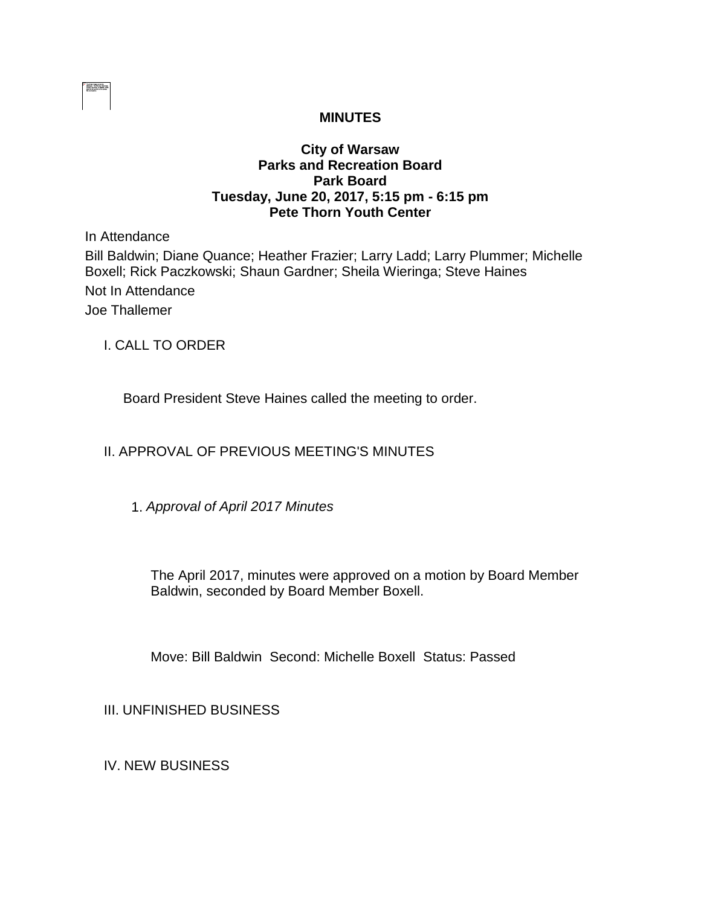

# **MINUTES**

### **City of Warsaw Parks and Recreation Board Park Board Tuesday, June 20, 2017, 5:15 pm - 6:15 pm Pete Thorn Youth Center**

In Attendance

Bill Baldwin; Diane Quance; Heather Frazier; Larry Ladd; Larry Plummer; Michelle Boxell; Rick Paczkowski; Shaun Gardner; Sheila Wieringa; Steve Haines Not In Attendance Joe Thallemer

I. CALL TO ORDER

Board President Steve Haines called the meeting to order.

## II. APPROVAL OF PREVIOUS MEETING'S MINUTES

1. *Approval of April 2017 Minutes*

The April 2017, minutes were approved on a motion by Board Member Baldwin, seconded by Board Member Boxell.

Move: Bill Baldwin Second: Michelle Boxell Status: Passed

III. UNFINISHED BUSINESS

IV. NEW BUSINESS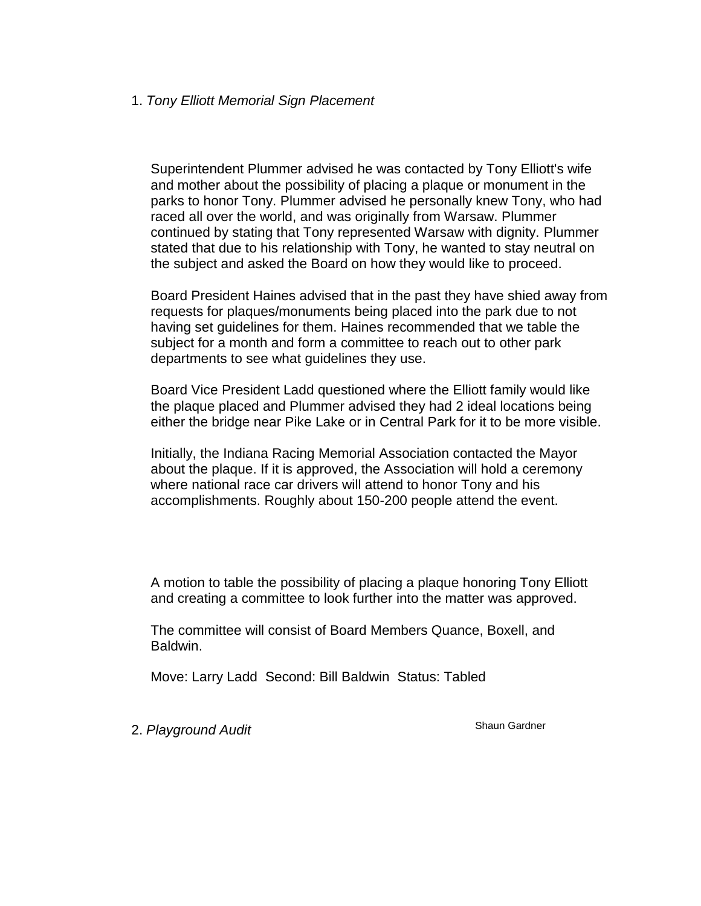#### 1. *Tony Elliott Memorial Sign Placement*

Superintendent Plummer advised he was contacted by Tony Elliott's wife and mother about the possibility of placing a plaque or monument in the parks to honor Tony. Plummer advised he personally knew Tony, who had raced all over the world, and was originally from Warsaw. Plummer continued by stating that Tony represented Warsaw with dignity. Plummer stated that due to his relationship with Tony, he wanted to stay neutral on the subject and asked the Board on how they would like to proceed.

Board President Haines advised that in the past they have shied away from requests for plaques/monuments being placed into the park due to not having set guidelines for them. Haines recommended that we table the subject for a month and form a committee to reach out to other park departments to see what guidelines they use.

Board Vice President Ladd questioned where the Elliott family would like the plaque placed and Plummer advised they had 2 ideal locations being either the bridge near Pike Lake or in Central Park for it to be more visible.

Initially, the Indiana Racing Memorial Association contacted the Mayor about the plaque. If it is approved, the Association will hold a ceremony where national race car drivers will attend to honor Tony and his accomplishments. Roughly about 150-200 people attend the event.

A motion to table the possibility of placing a plaque honoring Tony Elliott and creating a committee to look further into the matter was approved.

The committee will consist of Board Members Quance, Boxell, and Baldwin.

Move: Larry Ladd Second: Bill Baldwin Status: Tabled

2. Playground Audit **Shaun Gardner** Shaun Gardner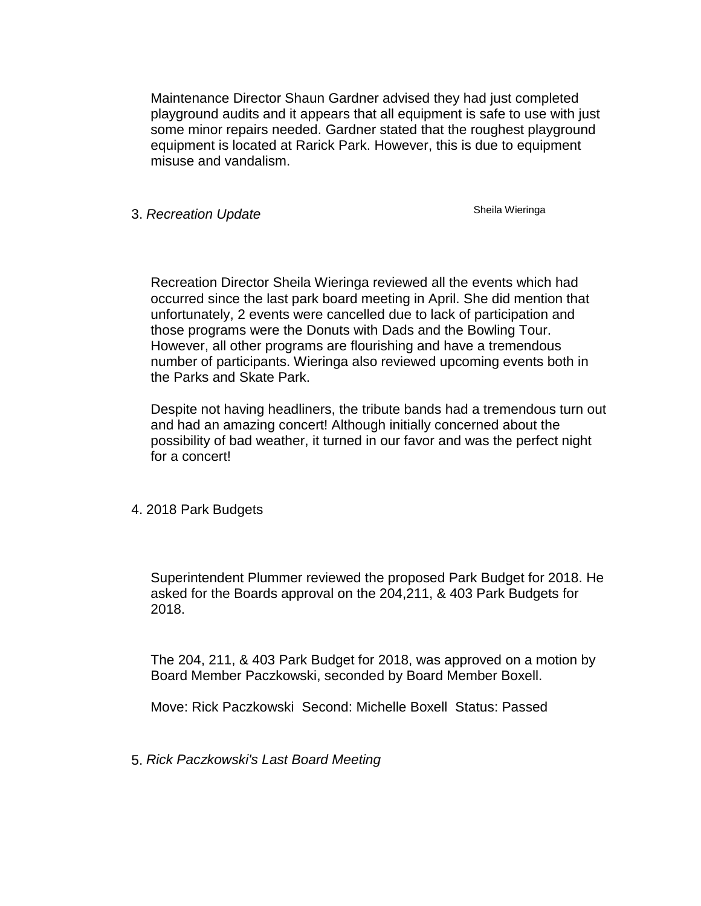Maintenance Director Shaun Gardner advised they had just completed playground audits and it appears that all equipment is safe to use with just some minor repairs needed. Gardner stated that the roughest playground equipment is located at Rarick Park. However, this is due to equipment misuse and vandalism.

3. **Recreation Update** Sheila Wieringa

Recreation Director Sheila Wieringa reviewed all the events which had occurred since the last park board meeting in April. She did mention that unfortunately, 2 events were cancelled due to lack of participation and those programs were the Donuts with Dads and the Bowling Tour. However, all other programs are flourishing and have a tremendous number of participants. Wieringa also reviewed upcoming events both in the Parks and Skate Park.

Despite not having headliners, the tribute bands had a tremendous turn out and had an amazing concert! Although initially concerned about the possibility of bad weather, it turned in our favor and was the perfect night for a concert!

4. 2018 Park Budgets

Superintendent Plummer reviewed the proposed Park Budget for 2018. He asked for the Boards approval on the 204,211, & 403 Park Budgets for 2018.

The 204, 211, & 403 Park Budget for 2018, was approved on a motion by Board Member Paczkowski, seconded by Board Member Boxell.

Move: Rick Paczkowski Second: Michelle Boxell Status: Passed

5. *Rick Paczkowski's Last Board Meeting*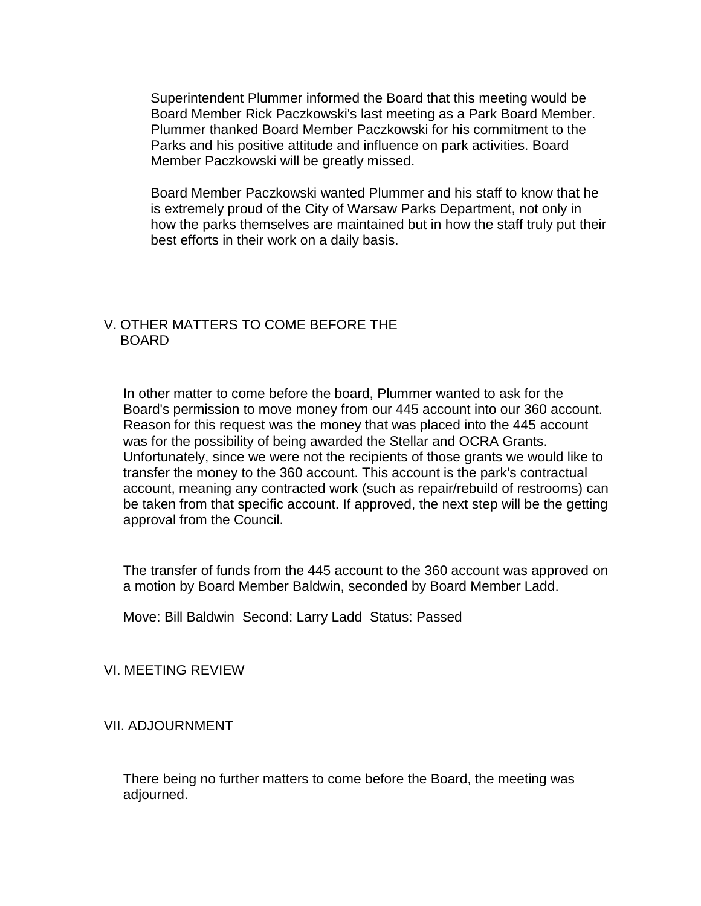Superintendent Plummer informed the Board that this meeting would be Board Member Rick Paczkowski's last meeting as a Park Board Member. Plummer thanked Board Member Paczkowski for his commitment to the Parks and his positive attitude and influence on park activities. Board Member Paczkowski will be greatly missed.

Board Member Paczkowski wanted Plummer and his staff to know that he is extremely proud of the City of Warsaw Parks Department, not only in how the parks themselves are maintained but in how the staff truly put their best efforts in their work on a daily basis.

#### V. OTHER MATTERS TO COME BEFORE THE BOARD

In other matter to come before the board, Plummer wanted to ask for the Board's permission to move money from our 445 account into our 360 account. Reason for this request was the money that was placed into the 445 account was for the possibility of being awarded the Stellar and OCRA Grants. Unfortunately, since we were not the recipients of those grants we would like to transfer the money to the 360 account. This account is the park's contractual account, meaning any contracted work (such as repair/rebuild of restrooms) can be taken from that specific account. If approved, the next step will be the getting approval from the Council.

The transfer of funds from the 445 account to the 360 account was approved on a motion by Board Member Baldwin, seconded by Board Member Ladd.

Move: Bill Baldwin Second: Larry Ladd Status: Passed

VI. MEETING REVIEW

VII. ADJOURNMENT

There being no further matters to come before the Board, the meeting was adjourned.